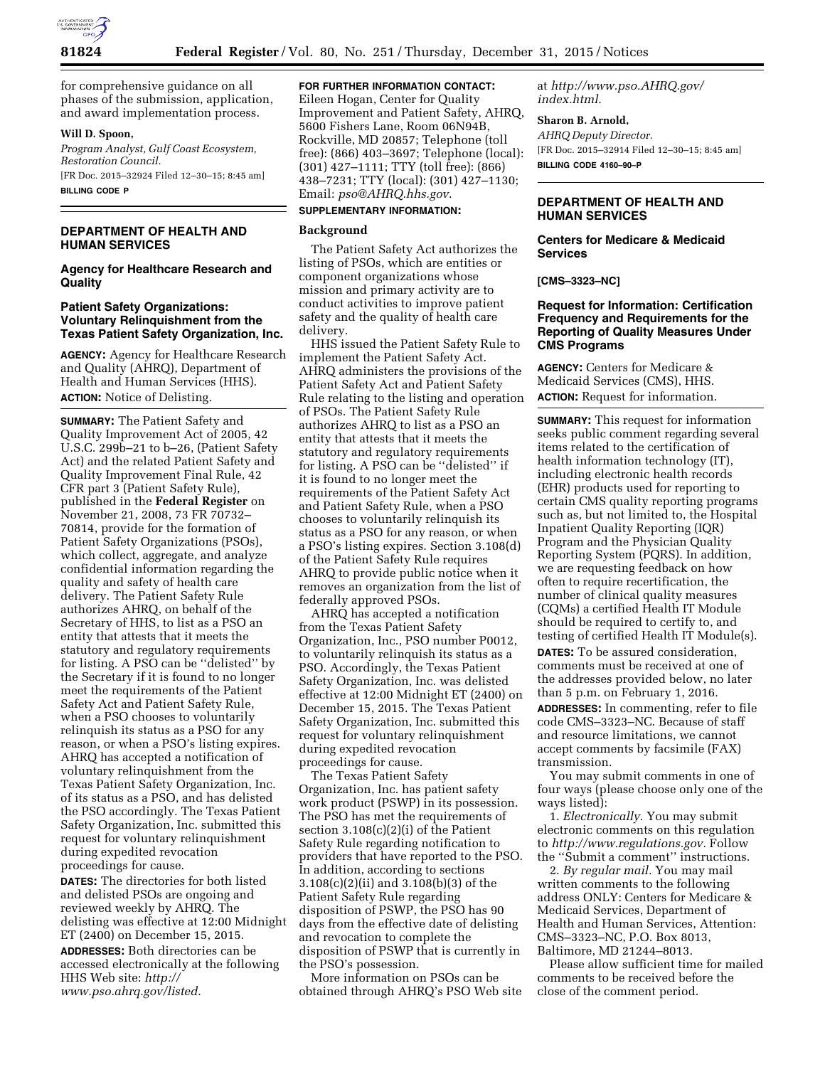

for comprehensive guidance on all phases of the submission, application, and award implementation process.

### **Will D. Spoon,**

*Program Analyst, Gulf Coast Ecosystem, Restoration Council.*  [FR Doc. 2015–32924 Filed 12–30–15; 8:45 am] **BILLING CODE P** 

# **DEPARTMENT OF HEALTH AND HUMAN SERVICES**

### **Agency for Healthcare Research and Quality**

## **Patient Safety Organizations: Voluntary Relinquishment from the Texas Patient Safety Organization, Inc.**

**AGENCY:** Agency for Healthcare Research and Quality (AHRQ), Department of Health and Human Services (HHS). **ACTION:** Notice of Delisting.

**SUMMARY:** The Patient Safety and Quality Improvement Act of 2005, 42 U.S.C. 299b–21 to b–26, (Patient Safety Act) and the related Patient Safety and Quality Improvement Final Rule, 42 CFR part 3 (Patient Safety Rule), published in the **Federal Register** on November 21, 2008, 73 FR 70732– 70814, provide for the formation of Patient Safety Organizations (PSOs), which collect, aggregate, and analyze confidential information regarding the quality and safety of health care delivery. The Patient Safety Rule authorizes AHRQ, on behalf of the Secretary of HHS, to list as a PSO an entity that attests that it meets the statutory and regulatory requirements for listing. A PSO can be ''delisted'' by the Secretary if it is found to no longer meet the requirements of the Patient Safety Act and Patient Safety Rule, when a PSO chooses to voluntarily relinquish its status as a PSO for any reason, or when a PSO's listing expires. AHRQ has accepted a notification of voluntary relinquishment from the Texas Patient Safety Organization, Inc. of its status as a PSO, and has delisted the PSO accordingly. The Texas Patient Safety Organization, Inc. submitted this request for voluntary relinquishment during expedited revocation proceedings for cause.

**DATES:** The directories for both listed and delisted PSOs are ongoing and reviewed weekly by AHRQ. The delisting was effective at 12:00 Midnight ET (2400) on December 15, 2015. **ADDRESSES:** Both directories can be accessed electronically at the following HHS Web site: *[http://](http://www.pso.ahrq.gov/listed) [www.pso.ahrq.gov/listed.](http://www.pso.ahrq.gov/listed)* 

## **FOR FURTHER INFORMATION CONTACT:**

Eileen Hogan, Center for Quality Improvement and Patient Safety, AHRQ, 5600 Fishers Lane, Room 06N94B, Rockville, MD 20857; Telephone (toll free): (866) 403–3697; Telephone (local): (301) 427–1111; TTY (toll free): (866) 438–7231; TTY (local): (301) 427–1130; Email: *[pso@AHRQ.hhs.gov](mailto:pso@AHRQ.hhs.gov)*.

# **SUPPLEMENTARY INFORMATION:**

## **Background**

The Patient Safety Act authorizes the listing of PSOs, which are entities or component organizations whose mission and primary activity are to conduct activities to improve patient safety and the quality of health care delivery.

HHS issued the Patient Safety Rule to implement the Patient Safety Act. AHRQ administers the provisions of the Patient Safety Act and Patient Safety Rule relating to the listing and operation of PSOs. The Patient Safety Rule authorizes AHRQ to list as a PSO an entity that attests that it meets the statutory and regulatory requirements for listing. A PSO can be ''delisted'' if it is found to no longer meet the requirements of the Patient Safety Act and Patient Safety Rule, when a PSO chooses to voluntarily relinquish its status as a PSO for any reason, or when a PSO's listing expires. Section 3.108(d) of the Patient Safety Rule requires AHRQ to provide public notice when it removes an organization from the list of federally approved PSOs.

AHRQ has accepted a notification from the Texas Patient Safety Organization, Inc., PSO number P0012, to voluntarily relinquish its status as a PSO. Accordingly, the Texas Patient Safety Organization, Inc. was delisted effective at 12:00 Midnight ET (2400) on December 15, 2015. The Texas Patient Safety Organization, Inc. submitted this request for voluntary relinquishment during expedited revocation proceedings for cause.

The Texas Patient Safety Organization, Inc. has patient safety work product (PSWP) in its possession. The PSO has met the requirements of section 3.108(c)(2)(i) of the Patient Safety Rule regarding notification to providers that have reported to the PSO. In addition, according to sections 3.108(c)(2)(ii) and 3.108(b)(3) of the Patient Safety Rule regarding disposition of PSWP, the PSO has 90 days from the effective date of delisting and revocation to complete the disposition of PSWP that is currently in the PSO's possession.

More information on PSOs can be obtained through AHRQ's PSO Web site at *[http://www.pso.AHRQ.gov/](http://www.pso.AHRQ.gov/index.html) [index.html.](http://www.pso.AHRQ.gov/index.html)* 

# **Sharon B. Arnold,**

*AHRQ Deputy Director.*  [FR Doc. 2015–32914 Filed 12–30–15; 8:45 am] **BILLING CODE 4160–90–P** 

# **DEPARTMENT OF HEALTH AND HUMAN SERVICES**

### **Centers for Medicare & Medicaid Services**

**[CMS–3323–NC]** 

## **Request for Information: Certification Frequency and Requirements for the Reporting of Quality Measures Under CMS Programs**

**AGENCY:** Centers for Medicare & Medicaid Services (CMS), HHS. **ACTION:** Request for information.

**SUMMARY:** This request for information seeks public comment regarding several items related to the certification of health information technology (IT), including electronic health records (EHR) products used for reporting to certain CMS quality reporting programs such as, but not limited to, the Hospital Inpatient Quality Reporting (IQR) Program and the Physician Quality Reporting System (PQRS). In addition, we are requesting feedback on how often to require recertification, the number of clinical quality measures (CQMs) a certified Health IT Module should be required to certify to, and testing of certified Health IT Module(s).

**DATES:** To be assured consideration, comments must be received at one of the addresses provided below, no later than 5 p.m. on February 1, 2016.

**ADDRESSES:** In commenting, refer to file code CMS–3323–NC. Because of staff and resource limitations, we cannot accept comments by facsimile (FAX) transmission.

You may submit comments in one of four ways (please choose only one of the ways listed):

1. *Electronically.* You may submit electronic comments on this regulation to *[http://www.regulations.gov.](http://www.regulations.gov)* Follow the ''Submit a comment'' instructions.

2. *By regular mail.* You may mail written comments to the following address ONLY: Centers for Medicare & Medicaid Services, Department of Health and Human Services, Attention: CMS–3323–NC, P.O. Box 8013, Baltimore, MD 21244–8013.

Please allow sufficient time for mailed comments to be received before the close of the comment period.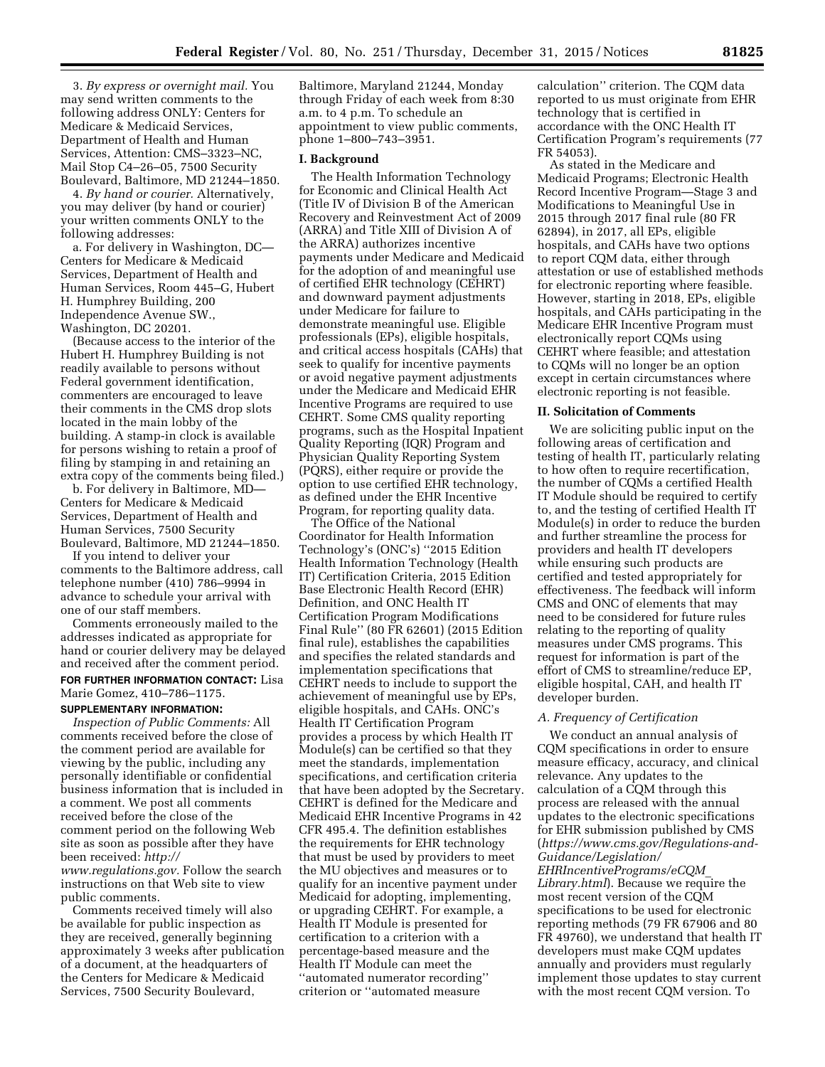3. *By express or overnight mail.* You may send written comments to the following address ONLY: Centers for Medicare & Medicaid Services, Department of Health and Human Services, Attention: CMS–3323–NC, Mail Stop C4–26–05, 7500 Security Boulevard, Baltimore, MD 21244–1850.

4. *By hand or courier.* Alternatively, you may deliver (by hand or courier) your written comments ONLY to the following addresses:

a. For delivery in Washington, DC— Centers for Medicare & Medicaid Services, Department of Health and Human Services, Room 445–G, Hubert H. Humphrey Building, 200 Independence Avenue SW., Washington, DC 20201.

(Because access to the interior of the Hubert H. Humphrey Building is not readily available to persons without Federal government identification, commenters are encouraged to leave their comments in the CMS drop slots located in the main lobby of the building. A stamp-in clock is available for persons wishing to retain a proof of filing by stamping in and retaining an extra copy of the comments being filed.)

b. For delivery in Baltimore, MD— Centers for Medicare & Medicaid Services, Department of Health and Human Services, 7500 Security Boulevard, Baltimore, MD 21244–1850.

If you intend to deliver your comments to the Baltimore address, call telephone number (410) 786–9994 in advance to schedule your arrival with one of our staff members.

Comments erroneously mailed to the addresses indicated as appropriate for hand or courier delivery may be delayed and received after the comment period.

# **FOR FURTHER INFORMATION CONTACT:** Lisa Marie Gomez, 410–786–1175.

## **SUPPLEMENTARY INFORMATION:**

*Inspection of Public Comments:* All comments received before the close of the comment period are available for viewing by the public, including any personally identifiable or confidential business information that is included in a comment. We post all comments received before the close of the comment period on the following Web site as soon as possible after they have been received: *[http://](http://www.regulations.gov) [www.regulations.gov.](http://www.regulations.gov)* Follow the search instructions on that Web site to view public comments.

Comments received timely will also be available for public inspection as they are received, generally beginning approximately 3 weeks after publication of a document, at the headquarters of the Centers for Medicare & Medicaid Services, 7500 Security Boulevard,

Baltimore, Maryland 21244, Monday through Friday of each week from 8:30 a.m. to 4 p.m. To schedule an appointment to view public comments, phone 1–800–743–3951.

#### **I. Background**

The Health Information Technology for Economic and Clinical Health Act (Title IV of Division B of the American Recovery and Reinvestment Act of 2009 (ARRA) and Title XIII of Division A of the ARRA) authorizes incentive payments under Medicare and Medicaid for the adoption of and meaningful use of certified EHR technology (CEHRT) and downward payment adjustments under Medicare for failure to demonstrate meaningful use. Eligible professionals (EPs), eligible hospitals, and critical access hospitals (CAHs) that seek to qualify for incentive payments or avoid negative payment adjustments under the Medicare and Medicaid EHR Incentive Programs are required to use CEHRT. Some CMS quality reporting programs, such as the Hospital Inpatient Quality Reporting (IQR) Program and Physician Quality Reporting System (PQRS), either require or provide the option to use certified EHR technology, as defined under the EHR Incentive Program, for reporting quality data.

The Office of the National Coordinator for Health Information Technology's (ONC's) ''2015 Edition Health Information Technology (Health IT) Certification Criteria, 2015 Edition Base Electronic Health Record (EHR) Definition, and ONC Health IT Certification Program Modifications Final Rule'' (80 FR 62601) (2015 Edition final rule), establishes the capabilities and specifies the related standards and implementation specifications that CEHRT needs to include to support the achievement of meaningful use by EPs, eligible hospitals, and CAHs. ONC's Health IT Certification Program provides a process by which Health IT Module(s) can be certified so that they meet the standards, implementation specifications, and certification criteria that have been adopted by the Secretary. CEHRT is defined for the Medicare and Medicaid EHR Incentive Programs in 42 CFR 495.4. The definition establishes the requirements for EHR technology that must be used by providers to meet the MU objectives and measures or to qualify for an incentive payment under Medicaid for adopting, implementing, or upgrading CEHRT. For example, a Health IT Module is presented for certification to a criterion with a percentage-based measure and the Health IT Module can meet the ''automated numerator recording'' criterion or ''automated measure

calculation'' criterion. The CQM data reported to us must originate from EHR technology that is certified in accordance with the ONC Health IT Certification Program's requirements (77 FR 54053).

As stated in the Medicare and Medicaid Programs; Electronic Health Record Incentive Program—Stage 3 and Modifications to Meaningful Use in 2015 through 2017 final rule (80 FR 62894), in 2017, all EPs, eligible hospitals, and CAHs have two options to report CQM data, either through attestation or use of established methods for electronic reporting where feasible. However, starting in 2018, EPs, eligible hospitals, and CAHs participating in the Medicare EHR Incentive Program must electronically report CQMs using CEHRT where feasible; and attestation to CQMs will no longer be an option except in certain circumstances where electronic reporting is not feasible.

#### **II. Solicitation of Comments**

We are soliciting public input on the following areas of certification and testing of health IT, particularly relating to how often to require recertification, the number of CQMs a certified Health IT Module should be required to certify to, and the testing of certified Health IT Module(s) in order to reduce the burden and further streamline the process for providers and health IT developers while ensuring such products are certified and tested appropriately for effectiveness. The feedback will inform CMS and ONC of elements that may need to be considered for future rules relating to the reporting of quality measures under CMS programs. This request for information is part of the effort of CMS to streamline/reduce EP, eligible hospital, CAH, and health IT developer burden.

### *A. Frequency of Certification*

We conduct an annual analysis of CQM specifications in order to ensure measure efficacy, accuracy, and clinical relevance. Any updates to the calculation of a CQM through this process are released with the annual updates to the electronic specifications for EHR submission published by CMS (*[https://www.cms.gov/Regulations-and-](https://www.cms.gov/Regulations-and-Guidance/Legislation/EHRIncentivePrograms/eCQM_Library.html)[Guidance/Legislation/](https://www.cms.gov/Regulations-and-Guidance/Legislation/EHRIncentivePrograms/eCQM_Library.html) [EHRIncentivePrograms/eCQM](https://www.cms.gov/Regulations-and-Guidance/Legislation/EHRIncentivePrograms/eCQM_Library.html)*\_ *[Library.html](https://www.cms.gov/Regulations-and-Guidance/Legislation/EHRIncentivePrograms/eCQM_Library.html)*). Because we require the most recent version of the CQM specifications to be used for electronic reporting methods (79 FR 67906 and 80 FR 49760), we understand that health IT developers must make CQM updates annually and providers must regularly implement those updates to stay current with the most recent CQM version. To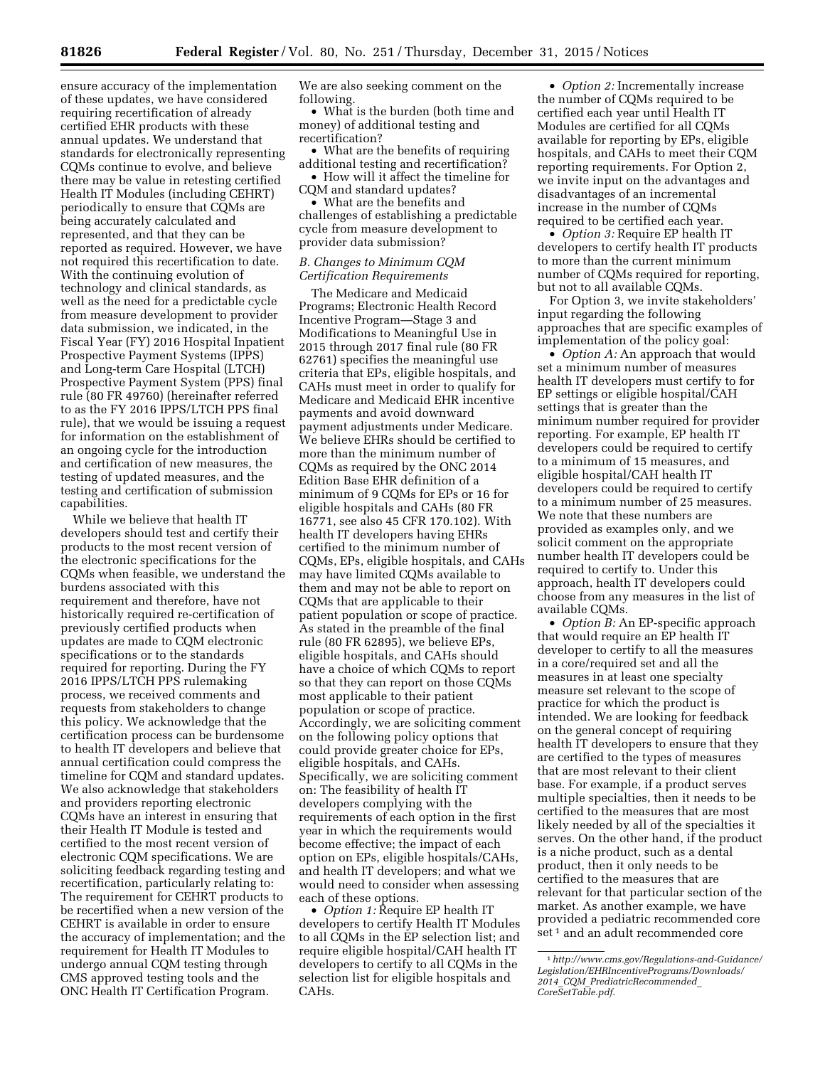ensure accuracy of the implementation of these updates, we have considered requiring recertification of already certified EHR products with these annual updates. We understand that standards for electronically representing CQMs continue to evolve, and believe there may be value in retesting certified Health IT Modules (including CEHRT) periodically to ensure that CQMs are being accurately calculated and represented, and that they can be reported as required. However, we have not required this recertification to date. With the continuing evolution of technology and clinical standards, as well as the need for a predictable cycle from measure development to provider data submission, we indicated, in the Fiscal Year (FY) 2016 Hospital Inpatient Prospective Payment Systems (IPPS) and Long-term Care Hospital (LTCH) Prospective Payment System (PPS) final rule (80 FR 49760) (hereinafter referred to as the FY 2016 IPPS/LTCH PPS final rule), that we would be issuing a request for information on the establishment of an ongoing cycle for the introduction and certification of new measures, the testing of updated measures, and the testing and certification of submission capabilities.

While we believe that health IT developers should test and certify their products to the most recent version of the electronic specifications for the CQMs when feasible, we understand the burdens associated with this requirement and therefore, have not historically required re-certification of previously certified products when updates are made to CQM electronic specifications or to the standards required for reporting. During the FY 2016 IPPS/LTCH PPS rulemaking process, we received comments and requests from stakeholders to change this policy. We acknowledge that the certification process can be burdensome to health IT developers and believe that annual certification could compress the timeline for CQM and standard updates. We also acknowledge that stakeholders and providers reporting electronic CQMs have an interest in ensuring that their Health IT Module is tested and certified to the most recent version of electronic CQM specifications. We are soliciting feedback regarding testing and recertification, particularly relating to: The requirement for CEHRT products to be recertified when a new version of the CEHRT is available in order to ensure the accuracy of implementation; and the requirement for Health IT Modules to undergo annual CQM testing through CMS approved testing tools and the ONC Health IT Certification Program.

We are also seeking comment on the following.

• What is the burden (both time and money) of additional testing and recertification?

• What are the benefits of requiring additional testing and recertification? • How will it affect the timeline for CQM and standard updates?

• What are the benefits and challenges of establishing a predictable cycle from measure development to provider data submission?

### *B. Changes to Minimum CQM Certification Requirements*

The Medicare and Medicaid Programs; Electronic Health Record Incentive Program—Stage 3 and Modifications to Meaningful Use in 2015 through 2017 final rule (80 FR 62761) specifies the meaningful use criteria that EPs, eligible hospitals, and CAHs must meet in order to qualify for Medicare and Medicaid EHR incentive payments and avoid downward payment adjustments under Medicare. We believe EHRs should be certified to more than the minimum number of CQMs as required by the ONC 2014 Edition Base EHR definition of a minimum of 9 CQMs for EPs or 16 for eligible hospitals and CAHs (80 FR 16771, see also 45 CFR 170.102). With health IT developers having EHRs certified to the minimum number of CQMs, EPs, eligible hospitals, and CAHs may have limited CQMs available to them and may not be able to report on CQMs that are applicable to their patient population or scope of practice. As stated in the preamble of the final rule (80 FR 62895), we believe EPs, eligible hospitals, and CAHs should have a choice of which CQMs to report so that they can report on those CQMs most applicable to their patient population or scope of practice. Accordingly, we are soliciting comment on the following policy options that could provide greater choice for EPs, eligible hospitals, and CAHs. Specifically, we are soliciting comment on: The feasibility of health IT developers complying with the requirements of each option in the first year in which the requirements would become effective; the impact of each option on EPs, eligible hospitals/CAHs, and health IT developers; and what we would need to consider when assessing each of these options.

• *Option 1:* Require EP health IT developers to certify Health IT Modules to all CQMs in the EP selection list; and require eligible hospital/CAH health IT developers to certify to all CQMs in the selection list for eligible hospitals and CAHs.

• *Option 2:* Incrementally increase the number of CQMs required to be certified each year until Health IT Modules are certified for all CQMs available for reporting by EPs, eligible hospitals, and CAHs to meet their CQM reporting requirements. For Option 2, we invite input on the advantages and disadvantages of an incremental increase in the number of CQMs required to be certified each year.

• *Option 3:* Require EP health IT developers to certify health IT products to more than the current minimum number of CQMs required for reporting, but not to all available CQMs.

For Option 3, we invite stakeholders' input regarding the following approaches that are specific examples of implementation of the policy goal:

• *Option A:* An approach that would set a minimum number of measures health IT developers must certify to for EP settings or eligible hospital/CAH settings that is greater than the minimum number required for provider reporting. For example, EP health IT developers could be required to certify to a minimum of 15 measures, and eligible hospital/CAH health IT developers could be required to certify to a minimum number of 25 measures. We note that these numbers are provided as examples only, and we solicit comment on the appropriate number health IT developers could be required to certify to. Under this approach, health IT developers could choose from any measures in the list of available CQMs.

• *Option B:* An EP-specific approach that would require an EP health IT developer to certify to all the measures in a core/required set and all the measures in at least one specialty measure set relevant to the scope of practice for which the product is intended. We are looking for feedback on the general concept of requiring health IT developers to ensure that they are certified to the types of measures that are most relevant to their client base. For example, if a product serves multiple specialties, then it needs to be certified to the measures that are most likely needed by all of the specialties it serves. On the other hand, if the product is a niche product, such as a dental product, then it only needs to be certified to the measures that are relevant for that particular section of the market. As another example, we have provided a pediatric recommended core set<sup>1</sup> and an adult recommended core

<sup>1</sup>*[http://www.cms.gov/Regulations-and-Guidance/](http://www.cms.gov/Regulations-and-Guidance/Legislation/EHRIncentivePrograms/Downloads/2014_CQM_PrediatricRecommended_CoreSetTable.pdf) [Legislation/EHRIncentivePrograms/Downloads/](http://www.cms.gov/Regulations-and-Guidance/Legislation/EHRIncentivePrograms/Downloads/2014_CQM_PrediatricRecommended_CoreSetTable.pdf) 2014*\_*CQM*\_*[PrediatricRecommended](http://www.cms.gov/Regulations-and-Guidance/Legislation/EHRIncentivePrograms/Downloads/2014_CQM_PrediatricRecommended_CoreSetTable.pdf)*\_ *[CoreSetTable.pdf](http://www.cms.gov/Regulations-and-Guidance/Legislation/EHRIncentivePrograms/Downloads/2014_CQM_PrediatricRecommended_CoreSetTable.pdf)*.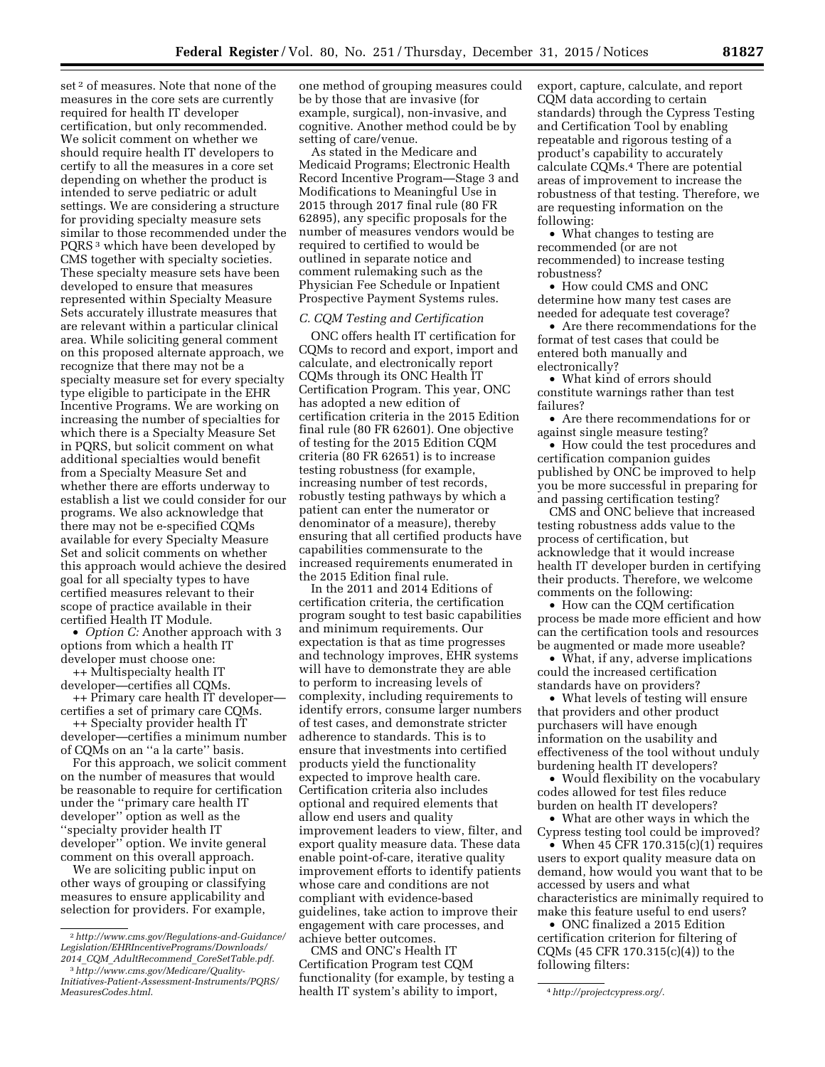set<sup>2</sup> of measures. Note that none of the measures in the core sets are currently required for health IT developer certification, but only recommended. We solicit comment on whether we should require health IT developers to certify to all the measures in a core set depending on whether the product is intended to serve pediatric or adult settings. We are considering a structure for providing specialty measure sets similar to those recommended under the PQRS 3 which have been developed by CMS together with specialty societies. These specialty measure sets have been developed to ensure that measures represented within Specialty Measure Sets accurately illustrate measures that are relevant within a particular clinical area. While soliciting general comment on this proposed alternate approach, we recognize that there may not be a specialty measure set for every specialty type eligible to participate in the EHR Incentive Programs. We are working on increasing the number of specialties for which there is a Specialty Measure Set in PQRS, but solicit comment on what additional specialties would benefit from a Specialty Measure Set and whether there are efforts underway to establish a list we could consider for our programs. We also acknowledge that there may not be e-specified CQMs available for every Specialty Measure Set and solicit comments on whether this approach would achieve the desired goal for all specialty types to have certified measures relevant to their scope of practice available in their certified Health IT Module.

• *Option C:* Another approach with 3 options from which a health IT developer must choose one:

++ Multispecialty health IT developer—certifies all CQMs.

++ Primary care health IT developer certifies a set of primary care CQMs.

++ Specialty provider health IT developer—certifies a minimum number of CQMs on an ''a la carte'' basis.

For this approach, we solicit comment on the number of measures that would be reasonable to require for certification under the ''primary care health IT developer'' option as well as the ''specialty provider health IT developer'' option. We invite general comment on this overall approach.

We are soliciting public input on other ways of grouping or classifying measures to ensure applicability and selection for providers. For example,

one method of grouping measures could be by those that are invasive (for example, surgical), non-invasive, and cognitive. Another method could be by setting of care/venue.

As stated in the Medicare and Medicaid Programs; Electronic Health Record Incentive Program—Stage 3 and Modifications to Meaningful Use in 2015 through 2017 final rule (80 FR 62895), any specific proposals for the number of measures vendors would be required to certified to would be outlined in separate notice and comment rulemaking such as the Physician Fee Schedule or Inpatient Prospective Payment Systems rules.

## *C. CQM Testing and Certification*

ONC offers health IT certification for CQMs to record and export, import and calculate, and electronically report CQMs through its ONC Health IT Certification Program. This year, ONC has adopted a new edition of certification criteria in the 2015 Edition final rule (80 FR 62601). One objective of testing for the 2015 Edition CQM criteria (80 FR 62651) is to increase testing robustness (for example, increasing number of test records, robustly testing pathways by which a patient can enter the numerator or denominator of a measure), thereby ensuring that all certified products have capabilities commensurate to the increased requirements enumerated in the 2015 Edition final rule.

In the 2011 and 2014 Editions of certification criteria, the certification program sought to test basic capabilities and minimum requirements. Our expectation is that as time progresses and technology improves, EHR systems will have to demonstrate they are able to perform to increasing levels of complexity, including requirements to identify errors, consume larger numbers of test cases, and demonstrate stricter adherence to standards. This is to ensure that investments into certified products yield the functionality expected to improve health care. Certification criteria also includes optional and required elements that allow end users and quality improvement leaders to view, filter, and export quality measure data. These data enable point-of-care, iterative quality improvement efforts to identify patients whose care and conditions are not compliant with evidence-based guidelines, take action to improve their engagement with care processes, and achieve better outcomes.

*[MeasuresCodes.html](http://www.cms.gov/Medicare/Quality-Initiatives-Patient-Assessment-Instruments/PQRS/MeasuresCodes.html)*. 4*<http://projectcypress.org/>*. health IT system's ability to import, CMS and ONC's Health IT Certification Program test CQM functionality (for example, by testing a

export, capture, calculate, and report CQM data according to certain standards) through the Cypress Testing and Certification Tool by enabling repeatable and rigorous testing of a product's capability to accurately calculate CQMs.4 There are potential areas of improvement to increase the robustness of that testing. Therefore, we are requesting information on the following:

• What changes to testing are recommended (or are not recommended) to increase testing robustness?

• How could CMS and ONC determine how many test cases are needed for adequate test coverage?

• Are there recommendations for the format of test cases that could be entered both manually and electronically?

• What kind of errors should constitute warnings rather than test failures?

• Are there recommendations for or against single measure testing?

• How could the test procedures and certification companion guides published by ONC be improved to help you be more successful in preparing for and passing certification testing?

CMS and ONC believe that increased testing robustness adds value to the process of certification, but acknowledge that it would increase health IT developer burden in certifying their products. Therefore, we welcome comments on the following:

• How can the CQM certification process be made more efficient and how can the certification tools and resources be augmented or made more useable?

• What, if any, adverse implications could the increased certification standards have on providers?

• What levels of testing will ensure that providers and other product purchasers will have enough information on the usability and effectiveness of the tool without unduly burdening health IT developers?

• Would flexibility on the vocabulary codes allowed for test files reduce burden on health IT developers?

• What are other ways in which the Cypress testing tool could be improved?

• When  $45$  CFR  $170.315(c)(1)$  requires users to export quality measure data on demand, how would you want that to be accessed by users and what characteristics are minimally required to make this feature useful to end users?

• ONC finalized a 2015 Edition certification criterion for filtering of CQMs (45 CFR 170.315(c)(4)) to the following filters:

<sup>2</sup>*[http://www.cms.gov/Regulations-and-Guidance/](http://www.cms.gov/Regulations-and-Guidance/Legislation/EHRIncentivePrograms/Downloads/2014_CQM_AdultRecommend_CoreSetTable.pdf) [Legislation/EHRIncentivePrograms/Downloads/](http://www.cms.gov/Regulations-and-Guidance/Legislation/EHRIncentivePrograms/Downloads/2014_CQM_AdultRecommend_CoreSetTable.pdf) 2014*\_*CQM*\_*[AdultRecommend](http://www.cms.gov/Regulations-and-Guidance/Legislation/EHRIncentivePrograms/Downloads/2014_CQM_AdultRecommend_CoreSetTable.pdf)*\_*CoreSetTable.pdf*.

<sup>3</sup>*[http://www.cms.gov/Medicare/Quality-](http://www.cms.gov/Medicare/Quality-Initiatives-Patient-Assessment-Instruments/PQRS/MeasuresCodes.html)[Initiatives-Patient-Assessment-Instruments/PQRS/](http://www.cms.gov/Medicare/Quality-Initiatives-Patient-Assessment-Instruments/PQRS/MeasuresCodes.html)*